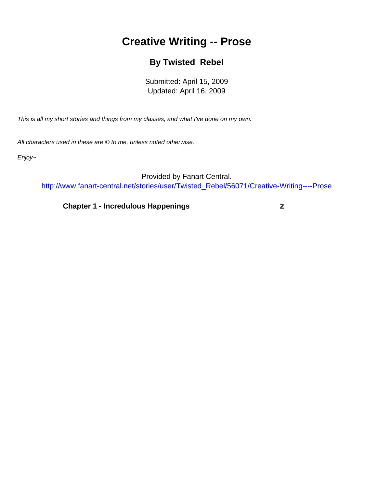## **Creative Writing -- Prose**

## **By Twisted\_Rebel**

Submitted: April 15, 2009 Updated: April 16, 2009

<span id="page-0-0"></span>This is all my short stories and things from my classes, and what I've done on my own.

All characters used in these are © to me, unless noted otherwise.

Enjoy~

Provided by Fanart Central.

[http://www.fanart-central.net/stories/user/Twisted\\_Rebel/56071/Creative-Writing----Prose](#page-0-0)

**[Chapter 1 - Incredulous Happenings](#page-1-0) [2](#page-1-0)**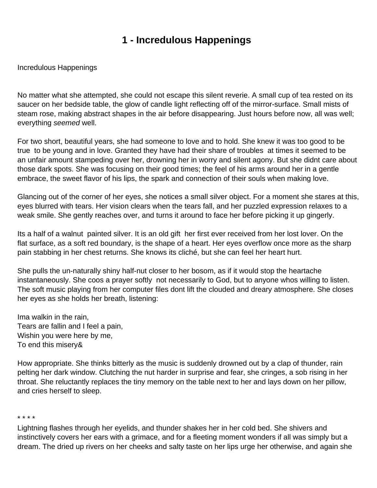## **1 - Incredulous Happenings**

<span id="page-1-0"></span>Incredulous Happenings

No matter what she attempted, she could not escape this silent reverie. A small cup of tea rested on its saucer on her bedside table, the glow of candle light reflecting off of the mirror-surface. Small mists of steam rose, making abstract shapes in the air before disappearing. Just hours before now, all was well; everything seemed well.

For two short, beautiful years, she had someone to love and to hold. She knew it was too good to be true to be young and in love. Granted they have had their share of troubles at times it seemed to be an unfair amount stampeding over her, drowning her in worry and silent agony. But she didn t care about those dark spots. She was focusing on their good times; the feel of his arms around her in a gentle embrace, the sweet flavor of his lips, the spark and connection of their souls when making love.

Glancing out of the corner of her eyes, she notices a small silver object. For a moment she stares at this, eyes blurred with tears. Her vision clears when the tears fall, and her puzzled expression relaxes to a weak smile. She gently reaches over, and turns it around to face her before picking it up gingerly.

It s a half of a walnut painted silver. It is an old gift her first ever received from her lost lover. On the flat surface, as a soft red boundary, is the shape of a heart. Her eyes overflow once more as the sharp pain stabbing in her chest returns. She knows it s cliché, but she can feel her heart hurt.

She pulls the un-naturally shiny half-nut closer to her bosom, as if it would stop the heartache instantaneously. She coos a prayer softly not necessarily to God, but to anyone who s willing to listen. The soft music playing from her computer files don t lift the clouded and dreary atmosphere. She closes her eyes as she holds her breath, listening:

Ima walkin in the rain, Tears are fallin and I feel a pain, Wishin you were here by me, To end this misery&

How appropriate. She thinks bitterly as the music is suddenly drowned out by a clap of thunder, rain pelting her dark window. Clutching the nut harder in surprise and fear, she cringes, a sob rising in her throat. She reluctantly replaces the tiny memory on the table next to her and lays down on her pillow, and cries herself to sleep.

\* \* \* \*

Lightning flashes through her eyelids, and thunder shakes her in her cold bed. She shivers and instinctively covers her ears with a grimace, and for a fleeting moment wonders if all was simply but a dream. The dried up rivers on her cheeks and salty taste on her lips urge her otherwise, and again she